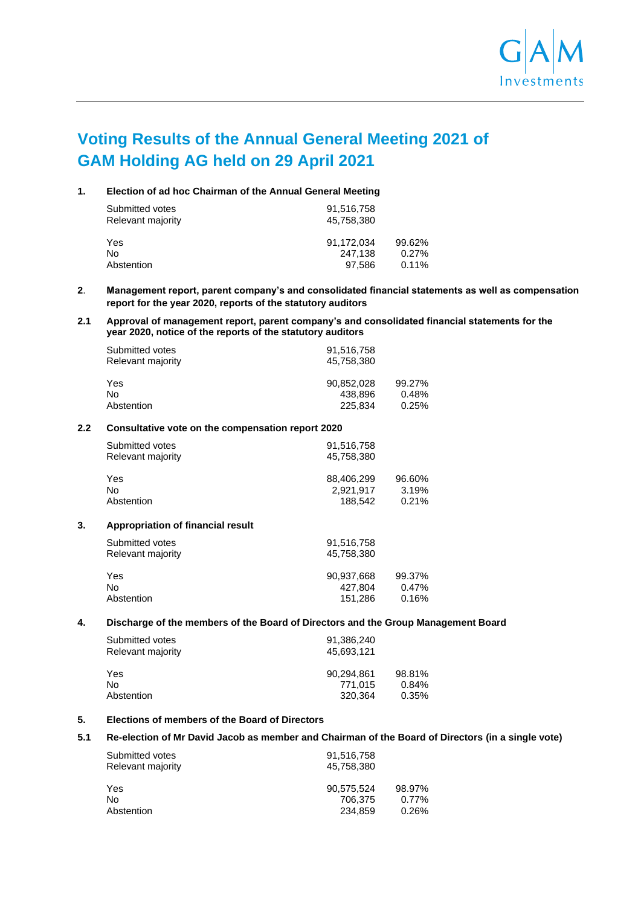

# **Voting Results of the Annual General Meeting 2021 of GAM Holding AG held on 29 April 2021**

|  |  |  | Election of ad hoc Chairman of the Annual General Meeting |
|--|--|--|-----------------------------------------------------------|
|--|--|--|-----------------------------------------------------------|

| Submitted votes<br>Relevant majority | 91,516,758<br>45.758.380 |        |
|--------------------------------------|--------------------------|--------|
| Yes                                  | 91.172.034               | 99.62% |
| No                                   | 247.138                  | 0.27%  |
| Abstention                           | 97.586                   | 0.11%  |

## **2**. **Management report, parent company's and consolidated financial statements as well as compensation report for the year 2020, reports of the statutory auditors**

## **2.1 Approval of management report, parent company's and consolidated financial statements for the year 2020, notice of the reports of the statutory auditors**

| Submitted votes   | 91,516,758 |        |
|-------------------|------------|--------|
| Relevant majority | 45.758.380 |        |
| Yes               | 90.852.028 | 99.27% |
| No                | 438.896    | 0.48%  |
| Abstention        | 225.834    | 0.25%  |

#### **2.2 Consultative vote on the compensation report 2020**

| Submitted votes<br>Relevant majority | 91,516,758<br>45.758.380 |        |
|--------------------------------------|--------------------------|--------|
| Yes                                  | 88.406.299               | 96.60% |
| No                                   | 2.921.917                | 3.19%  |
| Abstention                           | 188.542                  | 0.21%  |

#### **3. Appropriation of financial result**

| Submitted votes<br>Relevant majority | 91,516,758<br>45.758.380 |          |
|--------------------------------------|--------------------------|----------|
| Yes                                  | 90.937.668               | 99.37%   |
| No                                   | 427.804                  | $0.47\%$ |
| Abstention                           | 151,286                  | 0.16%    |

### **4. Discharge of the members of the Board of Directors and the Group Management Board**

| Submitted votes<br>Relevant majority | 91,386,240<br>45.693.121 |          |
|--------------------------------------|--------------------------|----------|
| Yes                                  | 90.294.861               | 98.81%   |
| No                                   | 771.015                  | $0.84\%$ |
| Abstention                           | 320.364                  | 0.35%    |

## **5. Elections of members of the Board of Directors**

#### **5.1 Re-election of Mr David Jacob as member and Chairman of the Board of Directors (in a single vote)**

| Submitted votes<br>Relevant majority | 91,516,758<br>45.758.380 |          |
|--------------------------------------|--------------------------|----------|
| Yes                                  | 90.575.524               | 98.97%   |
| No                                   | 706.375                  | $0.77\%$ |
| Abstention                           | 234.859                  | 0.26%    |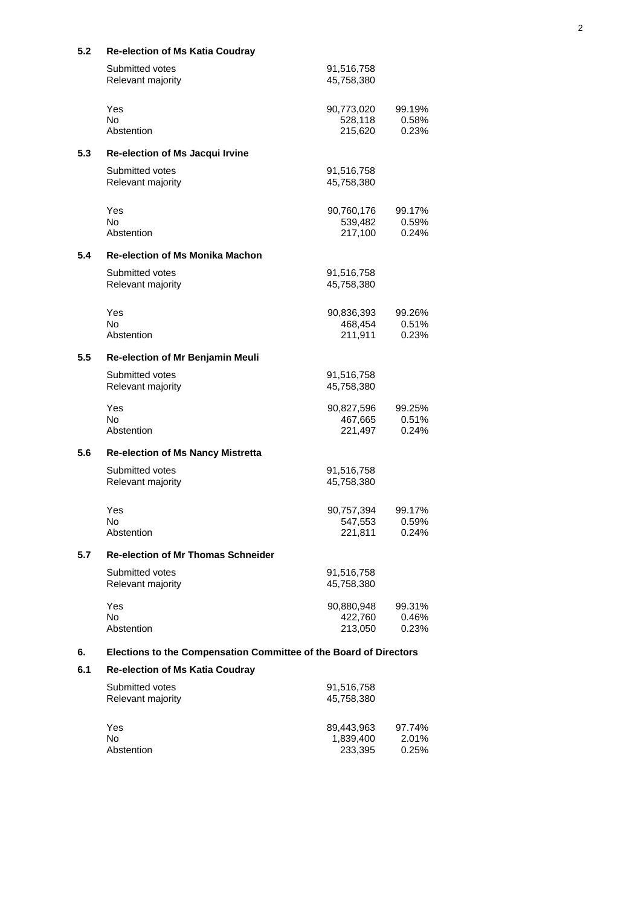| 5.2 | <b>Re-election of Ms Katia Coudray</b>                            |                                    |                          |
|-----|-------------------------------------------------------------------|------------------------------------|--------------------------|
|     | Submitted votes<br>Relevant majority                              | 91,516,758<br>45,758,380           |                          |
|     | Yes<br><b>No</b><br>Abstention                                    | 90,773,020<br>528,118<br>215,620   | 99.19%<br>0.58%<br>0.23% |
| 5.3 | Re-election of Ms Jacqui Irvine                                   |                                    |                          |
|     | Submitted votes<br>Relevant majority                              | 91,516,758<br>45,758,380           |                          |
|     | Yes<br><b>No</b>                                                  | 90,760,176<br>539,482              | 99.17%<br>0.59%          |
|     | Abstention                                                        | 217,100                            | 0.24%                    |
| 5.4 | <b>Re-election of Ms Monika Machon</b>                            |                                    |                          |
|     | Submitted votes<br>Relevant majority                              | 91,516,758<br>45,758,380           |                          |
|     | Yes<br>No.<br>Abstention                                          | 90,836,393<br>468,454<br>211,911   | 99.26%<br>0.51%<br>0.23% |
| 5.5 | Re-election of Mr Benjamin Meuli                                  |                                    |                          |
|     | Submitted votes<br>Relevant majority                              | 91,516,758<br>45,758,380           |                          |
|     | Yes<br>No.<br>Abstention                                          | 90,827,596<br>467,665<br>221,497   | 99.25%<br>0.51%<br>0.24% |
| 5.6 | <b>Re-election of Ms Nancy Mistretta</b>                          |                                    |                          |
|     | Submitted votes<br>Relevant majority                              | 91,516,758<br>45,758,380           |                          |
|     | Yes<br>No<br>Abstention                                           | 90,757,394<br>547,553<br>221,811   | 99.17%<br>0.59%<br>0.24% |
| 5.7 | <b>Re-election of Mr Thomas Schneider</b>                         |                                    |                          |
|     | Submitted votes<br>Relevant majority                              | 91,516,758<br>45,758,380           |                          |
|     | Yes<br><b>No</b><br>Abstention                                    | 90,880,948<br>422,760<br>213,050   | 99.31%<br>0.46%<br>0.23% |
| 6.  | Elections to the Compensation Committee of the Board of Directors |                                    |                          |
| 6.1 | <b>Re-election of Ms Katia Coudray</b>                            |                                    |                          |
|     | Submitted votes<br>Relevant majority                              | 91,516,758<br>45,758,380           |                          |
|     | Yes<br><b>No</b><br>Abstention                                    | 89,443,963<br>1,839,400<br>233,395 | 97.74%<br>2.01%<br>0.25% |

## 2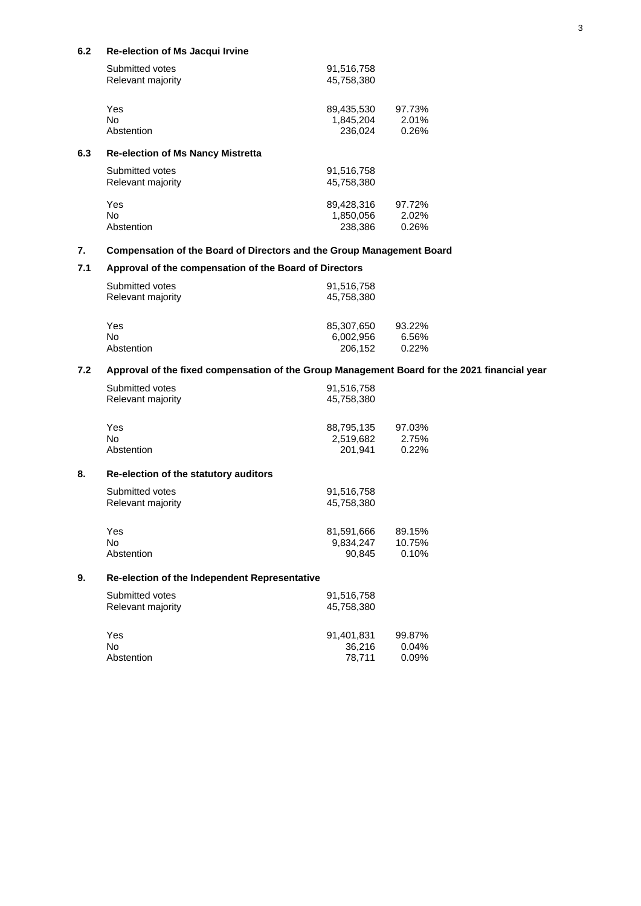## **6.2 Re-election of Ms Jacqui Irvine**

|     | Submitted votes<br>Relevant majority     | 91,516,758<br>45,758,380           |                          |
|-----|------------------------------------------|------------------------------------|--------------------------|
|     | Yes<br>No.<br>Abstention                 | 89,435,530<br>1,845,204<br>236.024 | 97.73%<br>2.01%<br>0.26% |
| 6.3 | <b>Re-election of Ms Nancy Mistretta</b> |                                    |                          |
|     | Submitted votes<br>Relevant majority     | 91,516,758<br>45.758.380           |                          |
|     | Yes<br>No.<br>Abstention                 | 89.428.316<br>1,850,056<br>238,386 | 97.72%<br>2.02%<br>0.26% |

## **7. Compensation of the Board of Directors and the Group Management Board**

## **7.1 Approval of the compensation of the Board of Directors**

| Submitted votes<br>Relevant majority | 91,516,758<br>45,758,380 |          |
|--------------------------------------|--------------------------|----------|
| Yes                                  | 85,307,650               | 93.22%   |
| No                                   | 6.002.956                | 6.56%    |
| Abstention                           | 206,152                  | $0.22\%$ |

## **7.2 Approval of the fixed compensation of the Group Management Board for the 2021 financial year**

36,216<br>78,711

|    | Submitted votes<br>Relevant majority          | 91,516,758<br>45,758,380          |                           |
|----|-----------------------------------------------|-----------------------------------|---------------------------|
|    | Yes<br>No.                                    | 88,795,135<br>2,519,682           | 97.03%<br>2.75%           |
|    | Abstention                                    | 201,941                           | 0.22%                     |
| 8. | Re-election of the statutory auditors         |                                   |                           |
|    | Submitted votes<br>Relevant majority          | 91,516,758<br>45,758,380          |                           |
|    | Yes<br>No.<br>Abstention                      | 81,591,666<br>9,834,247<br>90,845 | 89.15%<br>10.75%<br>0.10% |
| 9. | Re-election of the Independent Representative |                                   |                           |
|    | Submitted votes<br>Relevant majority          | 91,516,758<br>45,758,380          |                           |
|    | Yes<br>No                                     | 91,401,831<br>36,216              | 99.87%<br>0.04%           |

Abstention 78,711 0.09%